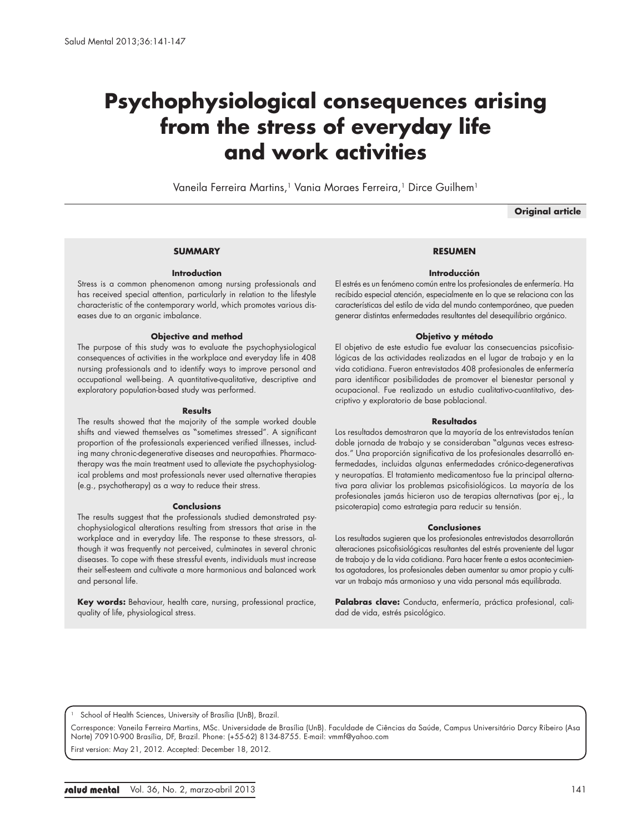# **Psychophysiological consequences arising from the stress of everyday life and work activities**

Vaneila Ferreira Martins,<sup>1</sup> Vania Moraes Ferreira,<sup>1</sup> Dirce Guilhem<sup>1</sup>

**Original article**

## **SUMMARY**

# **Introduction**

Stress is a common phenomenon among nursing professionals and has received special attention, particularly in relation to the lifestyle characteristic of the contemporary world, which promotes various diseases due to an organic imbalance.

## **Objective and method**

The purpose of this study was to evaluate the psychophysiological consequences of activities in the workplace and everyday life in 408 nursing professionals and to identify ways to improve personal and occupational well-being. A quantitative-qualitative, descriptive and exploratory population-based study was performed.

#### **Results**

The results showed that the majority of the sample worked double shifts and viewed themselves as "sometimes stressed". A significant proportion of the professionals experienced verified illnesses, including many chronic-degenerative diseases and neuropathies. Pharmacotherapy was the main treatment used to alleviate the psychophysiological problems and most professionals never used alternative therapies (e.g., psychotherapy) as a way to reduce their stress.

#### **Conclusions**

The results suggest that the professionals studied demonstrated psychophysiological alterations resulting from stressors that arise in the workplace and in everyday life. The response to these stressors, although it was frequently not perceived, culminates in several chronic diseases. To cope with these stressful events, individuals must increase their self-esteem and cultivate a more harmonious and balanced work and personal life.

**Key words:** Behaviour, health care, nursing, professional practice, quality of life, physiological stress.

# **RESUMEN**

#### **Introducción**

El estrés es un fenómeno común entre los profesionales de enfermería. Ha recibido especial atención, especialmente en lo que se relaciona con las características del estilo de vida del mundo contemporáneo, que pueden generar distintas enfermedades resultantes del desequilibrio orgánico.

## **Objetivo y método**

El objetivo de este estudio fue evaluar las consecuencias psicofisiológicas de las actividades realizadas en el lugar de trabajo y en la vida cotidiana. Fueron entrevistados 408 profesionales de enfermería para identificar posibilidades de promover el bienestar personal y ocupacional. Fue realizado un estudio cualitativo-cuantitativo, descriptivo y exploratorio de base poblacional.

#### **Resultados**

Los resultados demostraron que la mayoría de los entrevistados tenían doble jornada de trabajo y se consideraban "algunas veces estresados." Una proporción significativa de los profesionales desarrolló enfermedades, incluidas algunas enfermedades crónico-degenerativas y neuropatías. El tratamiento medicamentoso fue la principal alternativa para aliviar los problemas psicofisiológicos. La mayoría de los profesionales jamás hicieron uso de terapias alternativas (por ej., la psicoterapia) como estrategia para reducir su tensión.

#### **Conclusiones**

Los resultados sugieren que los profesionales entrevistados desarrollarán alteraciones psicofisiológicas resultantes del estrés proveniente del lugar de trabajo y de la vida cotidiana. Para hacer frente a estos acontecimientos agotadores, los profesionales deben aumentar su amor propio y cultivar un trabajo más armonioso y una vida personal más equilibrada.

Palabras clave: Conducta, enfermería, práctica profesional, calidad de vida, estrés psicológico.

School of Health Sciences, University of Brasília (UnB), Brazil.

Corresponce: Vaneila Ferreira Martins, MSc. Universidade de Brasília (UnB). Faculdade de Ciências da Saúde, Campus Universitário Darcy Ribeiro (Asa Norte) 70910-900 Brasília, DF, Brazil. Phone: (+55-62) 8134-8755. E-mail: vmmf@yahoo.com

First version: May 21, 2012. Accepted: December 18, 2012.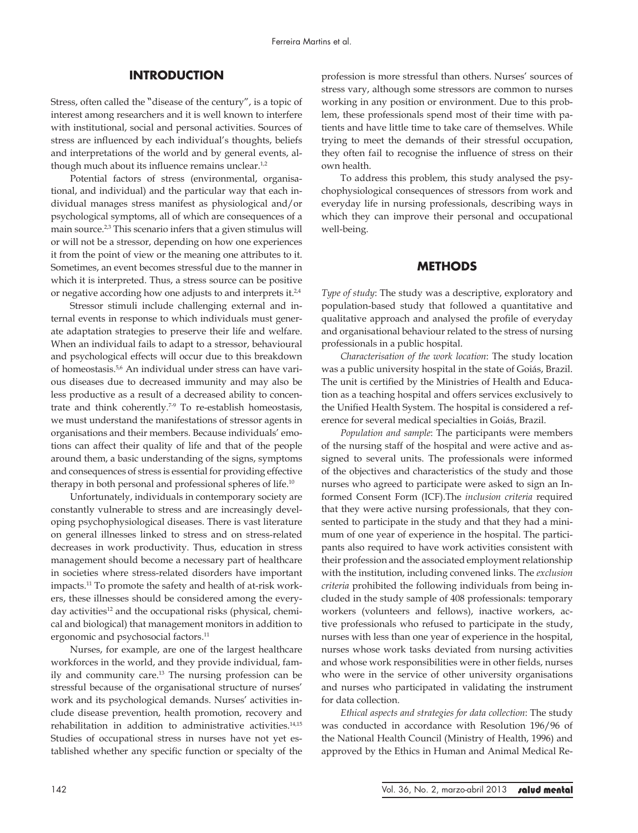# **INTRODUCTION**

Stress, often called the "disease of the century", is a topic of interest among researchers and it is well known to interfere with institutional, social and personal activities. Sources of stress are influenced by each individual's thoughts, beliefs and interpretations of the world and by general events, although much about its influence remains unclear.<sup>1,2</sup>

Potential factors of stress (environmental, organisational, and individual) and the particular way that each individual manages stress manifest as physiological and/or psychological symptoms, all of which are consequences of a main source.<sup>2,3</sup> This scenario infers that a given stimulus will or will not be a stressor, depending on how one experiences it from the point of view or the meaning one attributes to it. Sometimes, an event becomes stressful due to the manner in which it is interpreted. Thus, a stress source can be positive or negative according how one adjusts to and interprets it.<sup>2,4</sup>

Stressor stimuli include challenging external and internal events in response to which individuals must generate adaptation strategies to preserve their life and welfare. When an individual fails to adapt to a stressor, behavioural and psychological effects will occur due to this breakdown of homeostasis.5,6 An individual under stress can have various diseases due to decreased immunity and may also be less productive as a result of a decreased ability to concentrate and think coherently.7-9 To re-establish homeostasis, we must understand the manifestations of stressor agents in organisations and their members. Because individuals' emotions can affect their quality of life and that of the people around them, a basic understanding of the signs, symptoms and consequences of stress is essential for providing effective therapy in both personal and professional spheres of life.<sup>10</sup>

Unfortunately, individuals in contemporary society are constantly vulnerable to stress and are increasingly developing psychophysiological diseases. There is vast literature on general illnesses linked to stress and on stress-related decreases in work productivity. Thus, education in stress management should become a necessary part of healthcare in societies where stress-related disorders have important impacts.11 To promote the safety and health of at-risk workers, these illnesses should be considered among the everyday activities<sup>12</sup> and the occupational risks (physical, chemical and biological) that management monitors in addition to ergonomic and psychosocial factors.<sup>11</sup>

Nurses, for example, are one of the largest healthcare workforces in the world, and they provide individual, family and community care.13 The nursing profession can be stressful because of the organisational structure of nurses' work and its psychological demands. Nurses' activities include disease prevention, health promotion, recovery and rehabilitation in addition to administrative activities.14,15 Studies of occupational stress in nurses have not yet established whether any specific function or specialty of the profession is more stressful than others. Nurses' sources of stress vary, although some stressors are common to nurses working in any position or environment. Due to this problem, these professionals spend most of their time with patients and have little time to take care of themselves. While trying to meet the demands of their stressful occupation, they often fail to recognise the influence of stress on their own health.

To address this problem, this study analysed the psychophysiological consequences of stressors from work and everyday life in nursing professionals, describing ways in which they can improve their personal and occupational well-being.

# **METHODS**

*Type of study*: The study was a descriptive, exploratory and population-based study that followed a quantitative and qualitative approach and analysed the profile of everyday and organisational behaviour related to the stress of nursing professionals in a public hospital.

*Characterisation of the work location*: The study location was a public university hospital in the state of Goiás, Brazil. The unit is certified by the Ministries of Health and Education as a teaching hospital and offers services exclusively to the Unified Health System. The hospital is considered a reference for several medical specialties in Goiás, Brazil.

*Population and sample*: The participants were members of the nursing staff of the hospital and were active and assigned to several units. The professionals were informed of the objectives and characteristics of the study and those nurses who agreed to participate were asked to sign an Informed Consent Form (ICF).The *inclusion criteria* required that they were active nursing professionals, that they consented to participate in the study and that they had a minimum of one year of experience in the hospital. The participants also required to have work activities consistent with their profession and the associated employment relationship with the institution, including convened links. The *exclusion criteria* prohibited the following individuals from being included in the study sample of 408 professionals: temporary workers (volunteers and fellows), inactive workers, active professionals who refused to participate in the study, nurses with less than one year of experience in the hospital, nurses whose work tasks deviated from nursing activities and whose work responsibilities were in other fields, nurses who were in the service of other university organisations and nurses who participated in validating the instrument for data collection.

*Ethical aspects and strategies for data collection*: The study was conducted in accordance with Resolution 196/96 of the National Health Council (Ministry of Health, 1996) and approved by the Ethics in Human and Animal Medical Re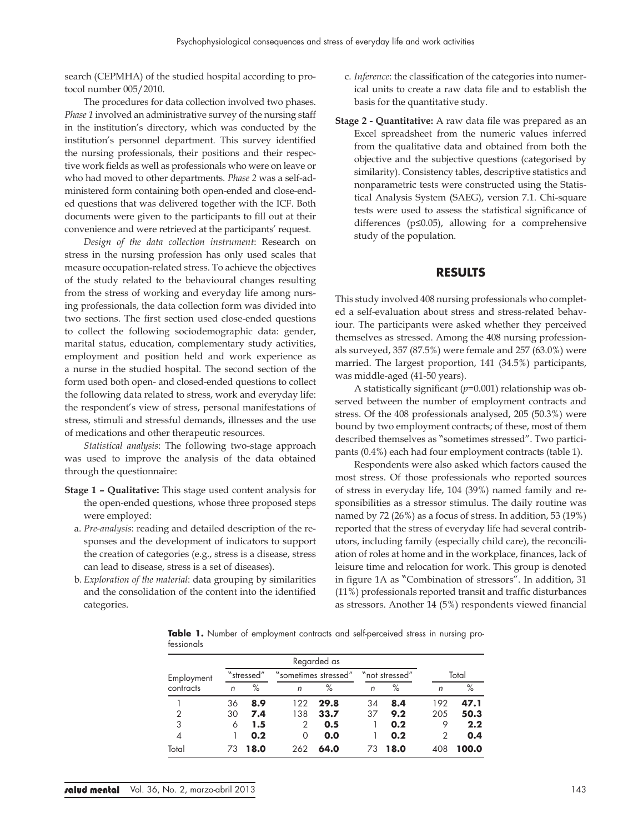search (CEPMHA) of the studied hospital according to protocol number 005/2010.

The procedures for data collection involved two phases. *Phase 1* involved an administrative survey of the nursing staff in the institution's directory, which was conducted by the institution's personnel department. This survey identified the nursing professionals, their positions and their respective work fields as well as professionals who were on leave or who had moved to other departments. *Phase 2* was a self-administered form containing both open-ended and close-ended questions that was delivered together with the ICF. Both documents were given to the participants to fill out at their convenience and were retrieved at the participants' request.

*Design of the data collection instrument*: Research on stress in the nursing profession has only used scales that measure occupation-related stress. To achieve the objectives of the study related to the behavioural changes resulting from the stress of working and everyday life among nursing professionals, the data collection form was divided into two sections. The first section used close-ended questions to collect the following sociodemographic data: gender, marital status, education, complementary study activities, employment and position held and work experience as a nurse in the studied hospital. The second section of the form used both open- and closed-ended questions to collect the following data related to stress, work and everyday life: the respondent's view of stress, personal manifestations of stress, stimuli and stressful demands, illnesses and the use of medications and other therapeutic resources.

*Statistical analysis*: The following two-stage approach was used to improve the analysis of the data obtained through the questionnaire:

- **Stage 1 Qualitative:** This stage used content analysis for the open-ended questions, whose three proposed steps were employed:
	- a. *Pre-analysis*: reading and detailed description of the responses and the development of indicators to support the creation of categories (e.g., stress is a disease, stress can lead to disease, stress is a set of diseases).
	- b. *Exploration of the material*: data grouping by similarities and the consolidation of the content into the identified categories.
- c. *Inference*: the classification of the categories into numerical units to create a raw data file and to establish the basis for the quantitative study.
- **Stage 2 Quantitative:** A raw data file was prepared as an Excel spreadsheet from the numeric values inferred from the qualitative data and obtained from both the objective and the subjective questions (categorised by similarity). Consistency tables, descriptive statistics and nonparametric tests were constructed using the Statistical Analysis System (SAEG), version 7.1. Chi-square tests were used to assess the statistical significance of differences (p≤0.05), allowing for a comprehensive study of the population.

# **RESULTS**

This study involved 408 nursing professionals who completed a self-evaluation about stress and stress-related behaviour. The participants were asked whether they perceived themselves as stressed. Among the 408 nursing professionals surveyed, 357 (87.5%) were female and 257 (63.0%) were married. The largest proportion, 141 (34.5%) participants, was middle-aged (41-50 years).

A statistically significant (*p*=0.001) relationship was observed between the number of employment contracts and stress. Of the 408 professionals analysed, 205 (50.3%) were bound by two employment contracts; of these, most of them described themselves as "sometimes stressed". Two participants (0.4%) each had four employment contracts (table 1).

Respondents were also asked which factors caused the most stress. Of those professionals who reported sources of stress in everyday life, 104 (39%) named family and responsibilities as a stressor stimulus. The daily routine was named by 72 (26%) as a focus of stress. In addition, 53 (19%) reported that the stress of everyday life had several contributors, including family (especially child care), the reconciliation of roles at home and in the workplace, finances, lack of leisure time and relocation for work. This group is denoted in figure 1A as "Combination of stressors". In addition, 31 (11%) professionals reported transit and traffic disturbances as stressors. Another 14 (5%) respondents viewed financial

**Table 1.** Number of employment contracts and self-perceived stress in nursing professionals

| Employment<br>contracts |                | "stressed" |          | "sometimes stressed" |    | "not stressed" | Total |       |  |
|-------------------------|----------------|------------|----------|----------------------|----|----------------|-------|-------|--|
|                         | $\overline{r}$ | $\%$       | n        | $\%$                 | n  | $\%$           | n     | $\%$  |  |
|                         | 36             | 8.9        | 122      | 29.8                 | 34 | 8.4            | 192   | 47.1  |  |
| 2                       | 30             | 7.4        | 138      | 33.7                 | 37 | 9.2            | 205   | 50.3  |  |
| 3                       | 6              | 1.5        | 2        | 0.5                  |    | 0.2            | 9     | 2.2   |  |
| 4                       |                | 0.2        | $\Omega$ | 0.0                  |    | 0.2            | 2     | 0.4   |  |
| Total                   | 73             | 18.0       | 262      | 64.0                 | 73 | 18.0           | 408   | 100.0 |  |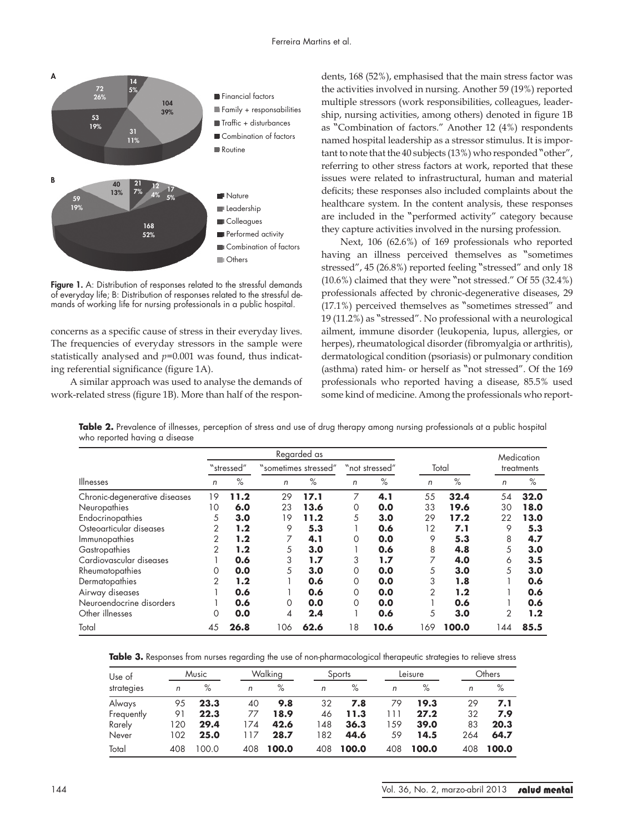

Figure 1. A: Distribution of responses related to the stressful demands of everyday life; B: Distribution of responses related to the stressful demands of working life for nursing professionals in a public hospital.

concerns as a specific cause of stress in their everyday lives. The frequencies of everyday stressors in the sample were statistically analysed and *p*=0.001 was found, thus indicating referential significance (figure 1A).

A similar approach was used to analyse the demands of work-related stress (figure 1B). More than half of the respondents, 168 (52%), emphasised that the main stress factor was the activities involved in nursing. Another 59 (19%) reported multiple stressors (work responsibilities, colleagues, leadership, nursing activities, among others) denoted in figure 1B as "Combination of factors." Another 12 (4%) respondents named hospital leadership as a stressor stimulus. It is important to note that the 40 subjects (13%) who responded "other", referring to other stress factors at work, reported that these issues were related to infrastructural, human and material deficits; these responses also included complaints about the healthcare system. In the content analysis, these responses are included in the "performed activity" category because they capture activities involved in the nursing profession.

Next, 106 (62.6%) of 169 professionals who reported having an illness perceived themselves as "sometimes stressed", 45 (26.8%) reported feeling "stressed" and only 18 (10.6%) claimed that they were "not stressed." Of 55 (32.4%) professionals affected by chronic-degenerative diseases, 29 (17.1%) perceived themselves as "sometimes stressed" and 19 (11.2%) as "stressed". No professional with a neurological ailment, immune disorder (leukopenia, lupus, allergies, or herpes), rheumatological disorder (fibromyalgia or arthritis), dermatological condition (psoriasis) or pulmonary condition (asthma) rated him- or herself as "not stressed". Of the 169 professionals who reported having a disease, 85.5% used some kind of medicine. Among the professionals who report-

Table 2. Prevalence of illnesses, perception of stress and use of drug therapy among nursing professionals at a public hospital who reported having a disease

|                               | Regarded as |      |                      |      |                |      |                |       |                | Medication |
|-------------------------------|-------------|------|----------------------|------|----------------|------|----------------|-------|----------------|------------|
|                               | "stressed"  |      | "sometimes stressed" |      | "not stressed" |      | Total          |       | treatments     |            |
| Illnesses                     | n           | $\%$ | n                    | $\%$ | n              | $\%$ | n              | $\%$  | n              | $\%$       |
| Chronic-degenerative diseases | 19          | 11.2 | 29                   | 17.1 | 7              | 4.1  | 55             | 32.4  | 54             | 32.0       |
| Neuropathies                  | 10          | 6.0  | 23                   | 13.6 | 0              | 0.0  | 33             | 19.6  | 30             | 18.0       |
| Endocrinopathies              | 5           | 3.0  | 19                   | 11.2 | 5              | 3.0  | 29             | 17.2  | 22             | 13.0       |
| Osteoarticular diseases       | 2           | 1.2  | 9                    | 5.3  |                | 0.6  | 12             | 7.1   | 9              | 5.3        |
| Immunopathies                 | 2           | 1.2  | 7                    | 4.1  | 0              | 0.0  | 9              | 5.3   | 8              | 4.7        |
| Gastropathies                 | 2           | 1.2  | 5                    | 3.0  |                | 0.6  | 8              | 4.8   | 5              | 3.0        |
| Cardiovascular diseases       |             | 0.6  | 3                    | 1.7  | 3              | 1.7  | 7              | 4.0   | 6              | 3.5        |
| Rheumatopathies               | 0           | 0.0  | 5                    | 3.0  | 0              | 0.0  | 5              | 3.0   | 5              | 3.0        |
| Dermatopathies                | 2           | 1.2  |                      | 0.6  | 0              | 0.0  | 3              | 1.8   |                | 0.6        |
| Airway diseases               |             | 0.6  |                      | 0.6  | 0              | 0.0  | $\overline{2}$ | 1.2   |                | 0.6        |
| Neuroendocrine disorders      |             | 0.6  | 0                    | 0.0  | 0              | 0.0  |                | 0.6   |                | 0.6        |
| Other illnesses               | $\Omega$    | 0.0  | 4                    | 2.4  |                | 0.6  | 5              | 3.0   | $\overline{2}$ | 1.2        |
| Total                         | 45          | 26.8 | 106                  | 62.6 | 18             | 10.6 | 169            | 100.0 | 144            | 85.5       |

Table 3. Responses from nurses regarding the use of non-pharmacological therapeutic strategies to relieve stress

| Use of     |     | Music |     | Walking |     | Sports |     | Leisure |  |     | Others |  |
|------------|-----|-------|-----|---------|-----|--------|-----|---------|--|-----|--------|--|
| strategies | n   | $\%$  | n   | $\%$    | n   | ℅      | n   | $\%$    |  | n   | $\%$   |  |
| Always     | 95  | 23.3  | 40  | 9.8     | 32  | 7.8    | 79  | 19.3    |  | 29  | 7.1    |  |
| Frequently | 91  | 22.3  | 77  | 18.9    | 46  | 11.3   |     | 27.2    |  | 32  | 7.9    |  |
| Rarely     | 120 | 29.4  | 174 | 42.6    | 148 | 36.3   | 59  | 39.0    |  | 83  | 20.3   |  |
| Never      | 102 | 25.0  | 117 | 28.7    | 182 | 44.6   | 59  | 14.5    |  | 264 | 64.7   |  |
| Total      | 408 | 100.0 | 408 | 100.0   | 408 | 100.0  | 408 | 100.0   |  | 408 | 100.0  |  |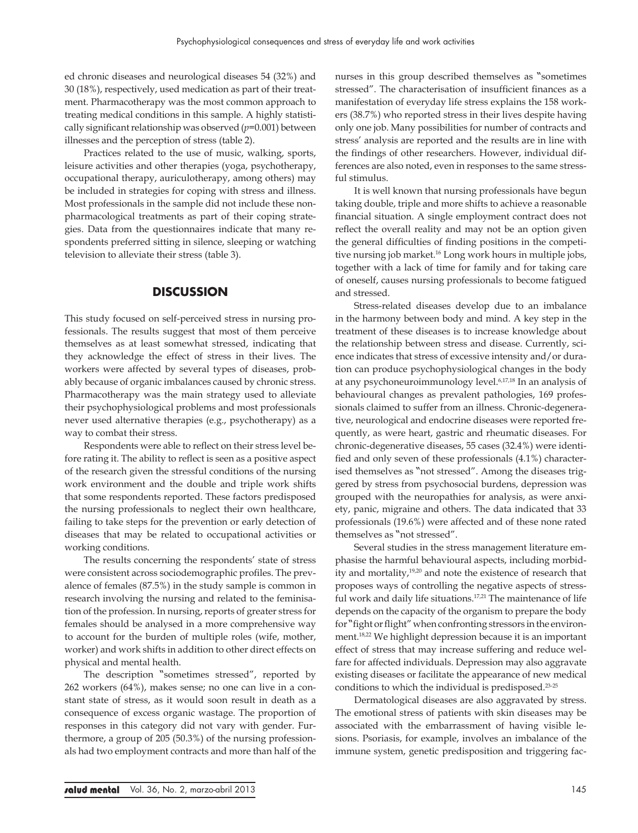ed chronic diseases and neurological diseases 54 (32%) and 30 (18%), respectively, used medication as part of their treatment. Pharmacotherapy was the most common approach to treating medical conditions in this sample. A highly statistically significant relationship was observed (*p*=0.001) between illnesses and the perception of stress (table 2).

Practices related to the use of music, walking, sports, leisure activities and other therapies (yoga, psychotherapy, occupational therapy, auriculotherapy, among others) may be included in strategies for coping with stress and illness. Most professionals in the sample did not include these nonpharmacological treatments as part of their coping strategies. Data from the questionnaires indicate that many respondents preferred sitting in silence, sleeping or watching television to alleviate their stress (table 3).

# **DISCUSSION**

This study focused on self-perceived stress in nursing professionals. The results suggest that most of them perceive themselves as at least somewhat stressed, indicating that they acknowledge the effect of stress in their lives. The workers were affected by several types of diseases, probably because of organic imbalances caused by chronic stress. Pharmacotherapy was the main strategy used to alleviate their psychophysiological problems and most professionals never used alternative therapies (e.g., psychotherapy) as a way to combat their stress.

Respondents were able to reflect on their stress level before rating it. The ability to reflect is seen as a positive aspect of the research given the stressful conditions of the nursing work environment and the double and triple work shifts that some respondents reported. These factors predisposed the nursing professionals to neglect their own healthcare, failing to take steps for the prevention or early detection of diseases that may be related to occupational activities or working conditions.

The results concerning the respondents' state of stress were consistent across sociodemographic profiles. The prevalence of females (87.5%) in the study sample is common in research involving the nursing and related to the feminisation of the profession. In nursing, reports of greater stress for females should be analysed in a more comprehensive way to account for the burden of multiple roles (wife, mother, worker) and work shifts in addition to other direct effects on physical and mental health.

The description "sometimes stressed", reported by 262 workers (64%), makes sense; no one can live in a constant state of stress, as it would soon result in death as a consequence of excess organic wastage. The proportion of responses in this category did not vary with gender. Furthermore, a group of 205 (50.3%) of the nursing professionals had two employment contracts and more than half of the

nurses in this group described themselves as "sometimes stressed". The characterisation of insufficient finances as a manifestation of everyday life stress explains the 158 workers (38.7%) who reported stress in their lives despite having only one job. Many possibilities for number of contracts and stress' analysis are reported and the results are in line with the findings of other researchers. However, individual differences are also noted, even in responses to the same stressful stimulus.

It is well known that nursing professionals have begun taking double, triple and more shifts to achieve a reasonable financial situation. A single employment contract does not reflect the overall reality and may not be an option given the general difficulties of finding positions in the competitive nursing job market.<sup>16</sup> Long work hours in multiple jobs, together with a lack of time for family and for taking care of oneself, causes nursing professionals to become fatigued and stressed.

Stress-related diseases develop due to an imbalance in the harmony between body and mind. A key step in the treatment of these diseases is to increase knowledge about the relationship between stress and disease. Currently, science indicates that stress of excessive intensity and/or duration can produce psychophysiological changes in the body at any psychoneuroimmunology level.6,17,18 In an analysis of behavioural changes as prevalent pathologies, 169 professionals claimed to suffer from an illness. Chronic-degenerative, neurological and endocrine diseases were reported frequently, as were heart, gastric and rheumatic diseases. For chronic-degenerative diseases, 55 cases (32.4%) were identified and only seven of these professionals (4.1%) characterised themselves as "not stressed". Among the diseases triggered by stress from psychosocial burdens, depression was grouped with the neuropathies for analysis, as were anxiety, panic, migraine and others. The data indicated that 33 professionals (19.6%) were affected and of these none rated themselves as "not stressed".

Several studies in the stress management literature emphasise the harmful behavioural aspects, including morbidity and mortality,19,20 and note the existence of research that proposes ways of controlling the negative aspects of stressful work and daily life situations.<sup>17,21</sup> The maintenance of life depends on the capacity of the organism to prepare the body for "fight or flight" when confronting stressors in the environment.18,22 We highlight depression because it is an important effect of stress that may increase suffering and reduce welfare for affected individuals. Depression may also aggravate existing diseases or facilitate the appearance of new medical conditions to which the individual is predisposed.23-25

Dermatological diseases are also aggravated by stress. The emotional stress of patients with skin diseases may be associated with the embarrassment of having visible lesions. Psoriasis, for example, involves an imbalance of the immune system, genetic predisposition and triggering fac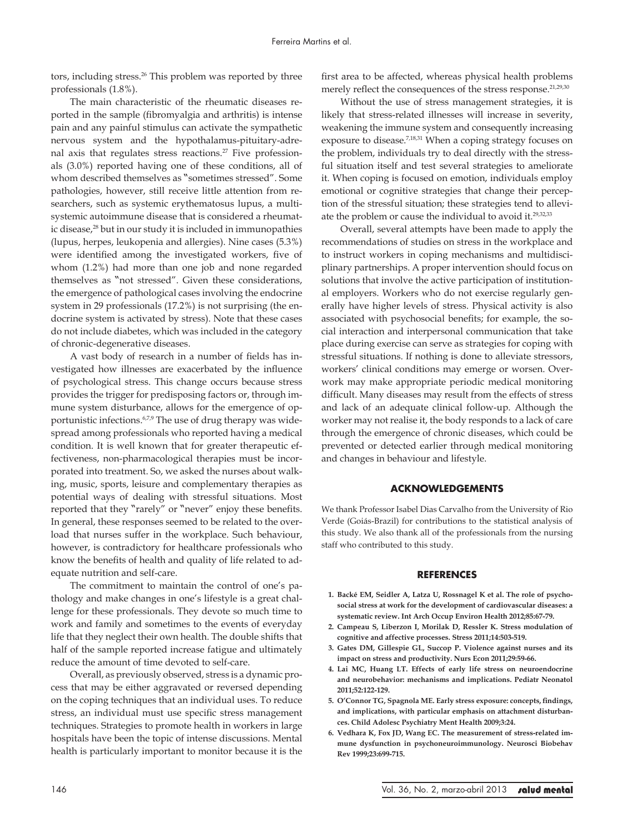tors, including stress.<sup>26</sup> This problem was reported by three professionals (1.8%).

The main characteristic of the rheumatic diseases reported in the sample (fibromyalgia and arthritis) is intense pain and any painful stimulus can activate the sympathetic nervous system and the hypothalamus-pituitary-adrenal axis that regulates stress reactions.<sup>27</sup> Five professionals (3.0%) reported having one of these conditions, all of whom described themselves as "sometimes stressed". Some pathologies, however, still receive little attention from researchers, such as systemic erythematosus lupus, a multisystemic autoimmune disease that is considered a rheumatic disease,<sup>28</sup> but in our study it is included in immunopathies (lupus, herpes, leukopenia and allergies). Nine cases (5.3%) were identified among the investigated workers, five of whom (1.2%) had more than one job and none regarded themselves as "not stressed". Given these considerations, the emergence of pathological cases involving the endocrine system in 29 professionals (17.2%) is not surprising (the endocrine system is activated by stress). Note that these cases do not include diabetes, which was included in the category of chronic-degenerative diseases.

A vast body of research in a number of fields has investigated how illnesses are exacerbated by the influence of psychological stress. This change occurs because stress provides the trigger for predisposing factors or, through immune system disturbance, allows for the emergence of opportunistic infections.<sup>6,7,9</sup> The use of drug therapy was widespread among professionals who reported having a medical condition. It is well known that for greater therapeutic effectiveness, non-pharmacological therapies must be incorporated into treatment. So, we asked the nurses about walking, music, sports, leisure and complementary therapies as potential ways of dealing with stressful situations. Most reported that they "rarely" or "never" enjoy these benefits. In general, these responses seemed to be related to the overload that nurses suffer in the workplace. Such behaviour, however, is contradictory for healthcare professionals who know the benefits of health and quality of life related to adequate nutrition and self-care.

The commitment to maintain the control of one's pathology and make changes in one's lifestyle is a great challenge for these professionals. They devote so much time to work and family and sometimes to the events of everyday life that they neglect their own health. The double shifts that half of the sample reported increase fatigue and ultimately reduce the amount of time devoted to self-care.

Overall, as previously observed, stress is a dynamic process that may be either aggravated or reversed depending on the coping techniques that an individual uses. To reduce stress, an individual must use specific stress management techniques. Strategies to promote health in workers in large hospitals have been the topic of intense discussions. Mental health is particularly important to monitor because it is the first area to be affected, whereas physical health problems merely reflect the consequences of the stress response.<sup>21,29,30</sup>

Without the use of stress management strategies, it is likely that stress-related illnesses will increase in severity, weakening the immune system and consequently increasing exposure to disease.<sup>7,18,31</sup> When a coping strategy focuses on the problem, individuals try to deal directly with the stressful situation itself and test several strategies to ameliorate it. When coping is focused on emotion, individuals employ emotional or cognitive strategies that change their perception of the stressful situation; these strategies tend to alleviate the problem or cause the individual to avoid it.<sup>29,32,33</sup>

Overall, several attempts have been made to apply the recommendations of studies on stress in the workplace and to instruct workers in coping mechanisms and multidisciplinary partnerships. A proper intervention should focus on solutions that involve the active participation of institutional employers. Workers who do not exercise regularly generally have higher levels of stress. Physical activity is also associated with psychosocial benefits; for example, the social interaction and interpersonal communication that take place during exercise can serve as strategies for coping with stressful situations. If nothing is done to alleviate stressors, workers' clinical conditions may emerge or worsen. Overwork may make appropriate periodic medical monitoring difficult. Many diseases may result from the effects of stress and lack of an adequate clinical follow-up. Although the worker may not realise it, the body responds to a lack of care through the emergence of chronic diseases, which could be prevented or detected earlier through medical monitoring and changes in behaviour and lifestyle.

# **ACKNOWLEDGEMENTS**

We thank Professor Isabel Dias Carvalho from the University of Rio Verde (Goiás-Brazil) for contributions to the statistical analysis of this study. We also thank all of the professionals from the nursing staff who contributed to this study.

## **REFERENCES**

- **1. Backé EM, Seidler A, Latza U, Rossnagel K et al. The role of psychosocial stress at work for the development of cardiovascular diseases: a systematic review. Int Arch Occup Environ Health 2012;85:67-79.**
- **2. Campeau S, Liberzon I, Morilak D, Ressler K. Stress modulation of cognitive and affective processes. Stress 2011;14:503-519.**
- **3. Gates DM, Gillespie GL, Succop P. Violence against nurses and its impact on stress and productivity. Nurs Econ 2011;29:59-66.**
- **4. Lai MC, Huang LT. Effects of early life stress on neuroendocrine and neurobehavior: mechanisms and implications. Pediatr Neonatol 2011;52:122-129.**
- **5. O'Connor TG, Spagnola ME. Early stress exposure: concepts, findings, and implications, with particular emphasis on attachment disturbances. Child Adolesc Psychiatry Ment Health 2009;3:24.**
- **6. Vedhara K, Fox JD, Wang EC. The measurement of stress-related immune dysfunction in psychoneuroimmunology. Neurosci Biobehav Rev 1999;23:699-715.**